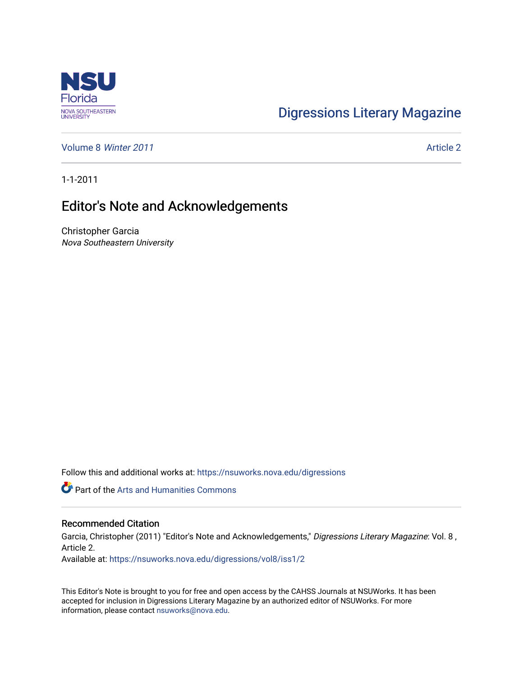

## [Digressions Literary Magazine](https://nsuworks.nova.edu/digressions)

[Volume 8](https://nsuworks.nova.edu/digressions/vol8) Winter 2011 **Article 2** Article 2

1-1-2011

## Editor's Note and Acknowledgements

Christopher Garcia Nova Southeastern University

Follow this and additional works at: [https://nsuworks.nova.edu/digressions](https://nsuworks.nova.edu/digressions?utm_source=nsuworks.nova.edu%2Fdigressions%2Fvol8%2Fiss1%2F2&utm_medium=PDF&utm_campaign=PDFCoverPages) 

Part of the [Arts and Humanities Commons](http://network.bepress.com/hgg/discipline/438?utm_source=nsuworks.nova.edu%2Fdigressions%2Fvol8%2Fiss1%2F2&utm_medium=PDF&utm_campaign=PDFCoverPages) 

#### Recommended Citation

Garcia, Christopher (2011) "Editor's Note and Acknowledgements," Digressions Literary Magazine: Vol. 8, Article 2.

Available at: [https://nsuworks.nova.edu/digressions/vol8/iss1/2](https://nsuworks.nova.edu/digressions/vol8/iss1/2?utm_source=nsuworks.nova.edu%2Fdigressions%2Fvol8%2Fiss1%2F2&utm_medium=PDF&utm_campaign=PDFCoverPages) 

This Editor's Note is brought to you for free and open access by the CAHSS Journals at NSUWorks. It has been accepted for inclusion in Digressions Literary Magazine by an authorized editor of NSUWorks. For more information, please contact [nsuworks@nova.edu.](mailto:nsuworks@nova.edu)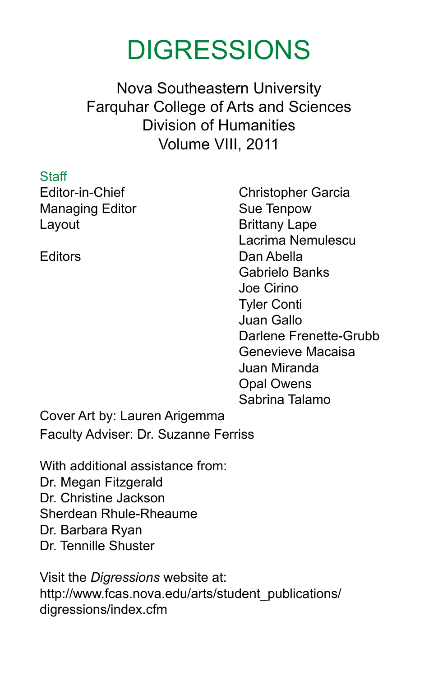# **DIGRESSIONS**

Nova Southeastern University Farquhar College of Arts and Sciences Division of Humanities Volume VIII, 2011

**Staff** Managing Editor Sue Tenpow Layout **Brittany Lape** 

Editor-in-Chief Christopher Garcia Lacrima Nemulescu Editors Dan Abella Gabrielo Banks Joe Cirino Tyler Conti Juan Gallo Darlene Frenette-Grubb Genevieve Macaisa Juan Miranda Opal Owens Sabrina Talamo

Cover Art by: Lauren Arigemma Faculty Adviser: Dr. Suzanne Ferriss

With additional assistance from: Dr. Megan Fitzgerald Dr. Christine Jackson Sherdean Rhule-Rheaume Dr. Barbara Ryan Dr. Tennille Shuster

Visit the *Digressions* website at: http://www.fcas.nova.edu/arts/student\_publications/ digressions/index.cfm